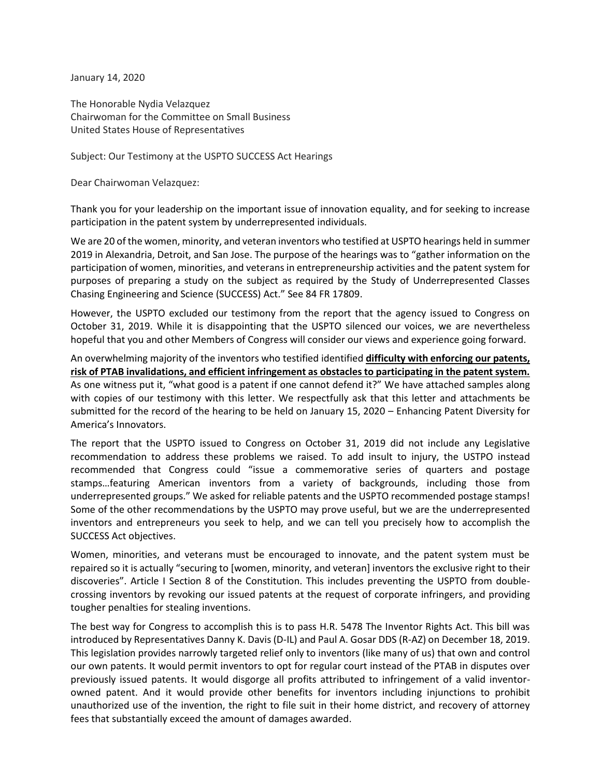January 14, 2020

The Honorable Nydia Velazquez Chairwoman for the Committee on Small Business United States House of Representatives

Subject: Our Testimony at the USPTO SUCCESS Act Hearings

Dear Chairwoman Velazquez:

Thank you for your leadership on the important issue of innovation equality, and for seeking to increase participation in the patent system by underrepresented individuals.

We are 20 of the women, minority, and veteran inventors who testified at USPTO hearings held in summer 2019 in Alexandria, Detroit, and San Jose. The purpose of the hearings was to "gather information on the participation of women, minorities, and veterans in entrepreneurship activities and the patent system for purposes of preparing a study on the subject as required by the Study of Underrepresented Classes Chasing Engineering and Science (SUCCESS) Act." See 84 FR 17809.

However, the USPTO excluded our testimony from the report that the agency issued to Congress on October 31, 2019. While it is disappointing that the USPTO silenced our voices, we are nevertheless hopeful that you and other Members of Congress will consider our views and experience going forward.

An overwhelming majority of the inventors who testified identified **difficulty with enforcing our patents, risk of PTAB invalidations, and efficient infringement as obstacles to participating in the patent system.** As one witness put it, "what good is a patent if one cannot defend it?" We have attached samples along with copies of our testimony with this letter. We respectfully ask that this letter and attachments be submitted for the record of the hearing to be held on January 15, 2020 – Enhancing Patent Diversity for America's Innovators.

The report that the USPTO issued to Congress on October 31, 2019 did not include any Legislative recommendation to address these problems we raised. To add insult to injury, the USTPO instead recommended that Congress could "issue a commemorative series of quarters and postage stamps…featuring American inventors from a variety of backgrounds, including those from underrepresented groups." We asked for reliable patents and the USPTO recommended postage stamps! Some of the other recommendations by the USPTO may prove useful, but we are the underrepresented inventors and entrepreneurs you seek to help, and we can tell you precisely how to accomplish the SUCCESS Act objectives.

Women, minorities, and veterans must be encouraged to innovate, and the patent system must be repaired so it is actually "securing to [women, minority, and veteran] inventors the exclusive right to their discoveries". Article I Section 8 of the Constitution. This includes preventing the USPTO from doublecrossing inventors by revoking our issued patents at the request of corporate infringers, and providing tougher penalties for stealing inventions.

The best way for Congress to accomplish this is to pass H.R. 5478 The Inventor Rights Act. This bill was introduced by Representatives Danny K. Davis (D-IL) and Paul A. Gosar DDS (R-AZ) on December 18, 2019. This legislation provides narrowly targeted relief only to inventors (like many of us) that own and control our own patents. It would permit inventors to opt for regular court instead of the PTAB in disputes over previously issued patents. It would disgorge all profits attributed to infringement of a valid inventorowned patent. And it would provide other benefits for inventors including injunctions to prohibit unauthorized use of the invention, the right to file suit in their home district, and recovery of attorney fees that substantially exceed the amount of damages awarded.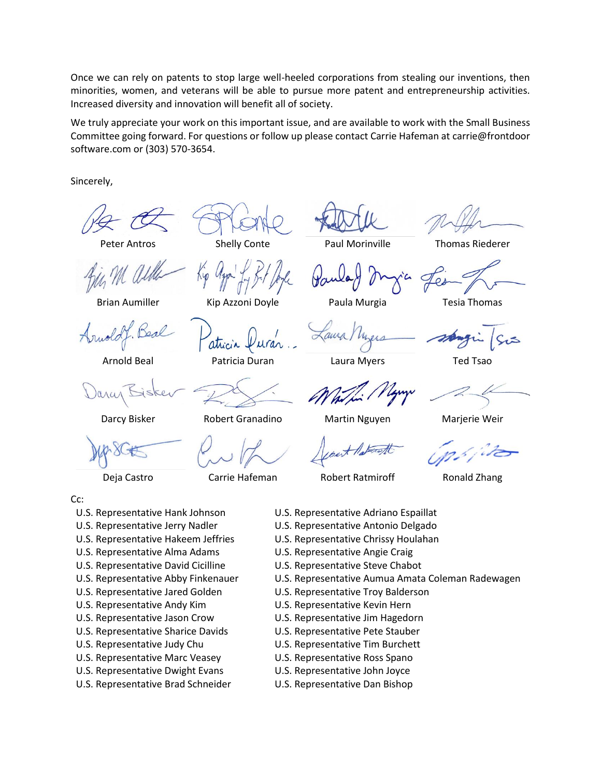Once we can rely on patents to stop large well-heeled corporations from stealing our inventions, then minorities, women, and veterans will be able to pursue more patent and entrepreneurship activities. Increased diversity and innovation will benefit all of society.

We truly appreciate your work on this important issue, and are available to work with the Small Business Committee going forward. For questions or follow up please contact Carrie Hafeman at carrie@frontdoor software.com or (303) 570-3654.

Sincerely,

Peter Antros

Brian Aumiller

Arnold Beal

Darcy Bisker

Robert Granadino

Carrie Hafeman

Shelly Conte

Kip Azzoni Doyle

Paul Morinville

Thomas Riederer

Paula Murgia

aura

Laura Myers

Tesia Thomas

Martin Nguyen

Marjerie Weir

Deja Castro

- Cc:
- U.S. Representative Hank Johnson
- U.S. Representative Jerry Nadler
- U.S. Representative Hakeem Jeffries
- U.S. Representative Alma Adams
- U.S. Representative David Cicilline
- U.S. Representative Abby Finkenauer
- U.S. Representative Jared Golden
- U.S. Representative Andy Kim
- U.S. Representative Jason Crow
- U.S. Representative Sharice Davids
- U.S. Representative Judy Chu
- U.S. Representative Marc Veasey
- U.S. Representative Dwight Evans
- U.S. Representative Brad Schneider
- Robert Ratmiroff
- 
- U.S. Representative Adriano Espaillat
- U.S. Representative Antonio Delgado
- U.S. Representative Chrissy Houlahan
- U.S. Representative Angie Craig
- U.S. Representative Steve Chabot
- U.S. Representative Aumua Amata Coleman Radewagen
- U.S. Representative Troy Balderson
- U.S. Representative Kevin Hern
- U.S. Representative Jim Hagedorn
- U.S. Representative Pete Stauber
- U.S. Representative Tim Burchett
- U.S. Representative Ross Spano
- U.S. Representative John Joyce
- U.S. Representative Dan Bishop

Ronald Zhang

Ted Tsao

Patricia Duran

atricia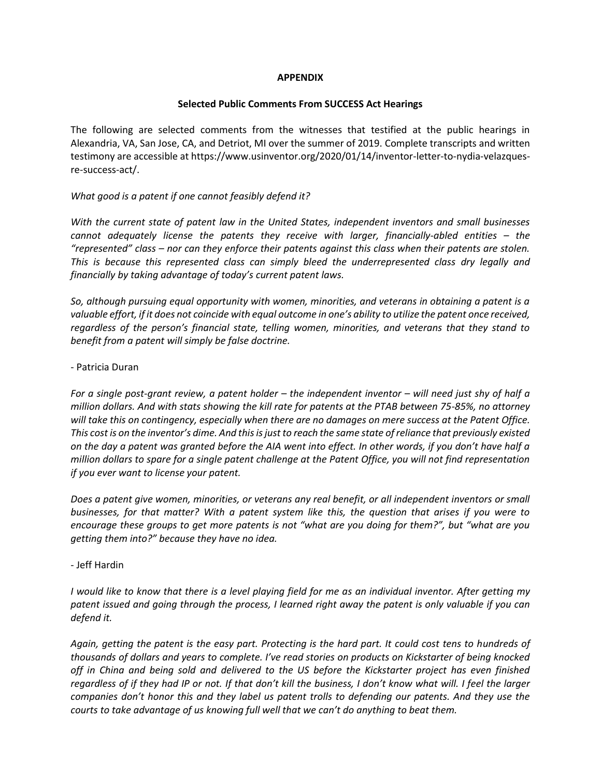#### **APPENDIX**

#### **Selected Public Comments From SUCCESS Act Hearings**

The following are selected comments from the witnesses that testified at the public hearings in Alexandria, VA, San Jose, CA, and Detriot, MI over the summer of 2019. Complete transcripts and written testimony are accessible at https://www.usinventor.org/2020/01/14/inventor-letter-to-nydia-velazquesre-success-act/.

#### *What good is a patent if one cannot feasibly defend it?*

*With the current state of patent law in the United States, independent inventors and small businesses cannot adequately license the patents they receive with larger, financially-abled entities – the "represented" class – nor can they enforce their patents against this class when their patents are stolen. This is because this represented class can simply bleed the underrepresented class dry legally and financially by taking advantage of today's current patent laws.*

*So, although pursuing equal opportunity with women, minorities, and veterans in obtaining a patent is a valuable effort, if it does not coincide with equal outcome in one's ability to utilize the patent once received, regardless of the person's financial state, telling women, minorities, and veterans that they stand to benefit from a patent will simply be false doctrine.*

#### - Patricia Duran

*For a single post-grant review, a patent holder – the independent inventor – will need just shy of half a million dollars. And with stats showing the kill rate for patents at the PTAB between 75-85%, no attorney will take this on contingency, especially when there are no damages on mere success at the Patent Office. This cost is on the inventor's dime. And this is just to reach the same state of reliance that previously existed on the day a patent was granted before the AIA went into effect. In other words, if you don't have half a million dollars to spare for a single patent challenge at the Patent Office, you will not find representation if you ever want to license your patent.*

*Does a patent give women, minorities, or veterans any real benefit, or all independent inventors or small businesses, for that matter? With a patent system like this, the question that arises if you were to encourage these groups to get more patents is not "what are you doing for them?", but "what are you getting them into?" because they have no idea.*

# - Jeff Hardin

*I would like to know that there is a level playing field for me as an individual inventor. After getting my patent issued and going through the process, I learned right away the patent is only valuable if you can defend it.*

*Again, getting the patent is the easy part. Protecting is the hard part. It could cost tens to hundreds of thousands of dollars and years to complete. I've read stories on products on Kickstarter of being knocked off in China and being sold and delivered to the US before the Kickstarter project has even finished regardless of if they had IP or not. If that don't kill the business, I don't know what will. I feel the larger companies don't honor this and they label us patent trolls to defending our patents. And they use the courts to take advantage of us knowing full well that we can't do anything to beat them.*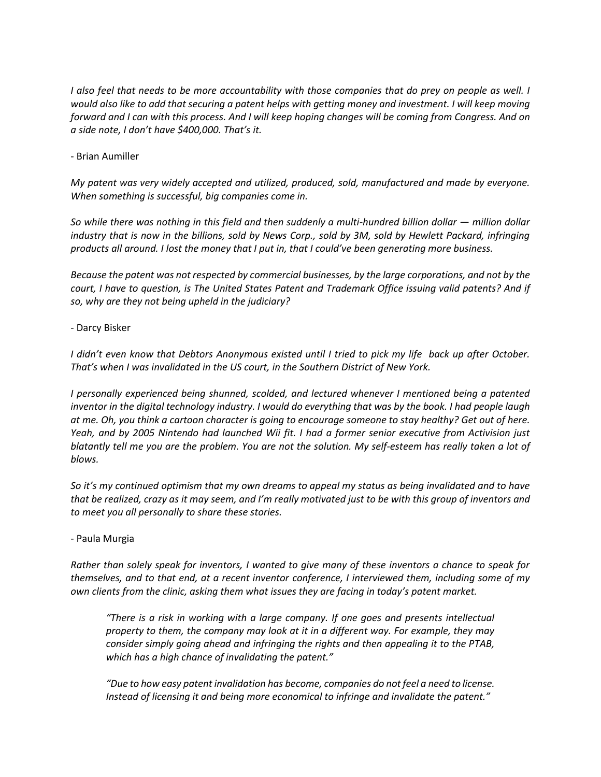*I also feel that needs to be more accountability with those companies that do prey on people as well. I would also like to add that securing a patent helps with getting money and investment. I will keep moving forward and I can with this process. And I will keep hoping changes will be coming from Congress. And on a side note, I don't have \$400,000. That's it.*

- Brian Aumiller

*My patent was very widely accepted and utilized, produced, sold, manufactured and made by everyone. When something is successful, big companies come in.*

*So while there was nothing in this field and then suddenly a multi-hundred billion dollar — million dollar industry that is now in the billions, sold by News Corp., sold by 3M, sold by Hewlett Packard, infringing products all around. I lost the money that I put in, that I could've been generating more business.*

*Because the patent was not respected by commercial businesses, by the large corporations, and not by the court, I have to question, is The United States Patent and Trademark Office issuing valid patents? And if so, why are they not being upheld in the judiciary?*

# - Darcy Bisker

*I didn't even know that Debtors Anonymous existed until I tried to pick my life back up after October. That's when I was invalidated in the US court, in the Southern District of New York.*

*I personally experienced being shunned, scolded, and lectured whenever I mentioned being a patented inventor in the digital technology industry. I would do everything that was by the book. I had people laugh at me. Oh, you think a cartoon character is going to encourage someone to stay healthy? Get out of here. Yeah, and by 2005 Nintendo had launched Wii fit. I had a former senior executive from Activision just blatantly tell me you are the problem. You are not the solution. My self-esteem has really taken a lot of blows.*

*So it's my continued optimism that my own dreams to appeal my status as being invalidated and to have that be realized, crazy as it may seem, and I'm really motivated just to be with this group of inventors and to meet you all personally to share these stories.*

# - Paula Murgia

*Rather than solely speak for inventors, I wanted to give many of these inventors a chance to speak for themselves, and to that end, at a recent inventor conference, I interviewed them, including some of my own clients from the clinic, asking them what issues they are facing in today's patent market.*

*"There is a risk in working with a large company. If one goes and presents intellectual property to them, the company may look at it in a different way. For example, they may consider simply going ahead and infringing the rights and then appealing it to the PTAB, which has a high chance of invalidating the patent."*

*"Due to how easy patent invalidation has become, companies do not feel a need to license. Instead of licensing it and being more economical to infringe and invalidate the patent."*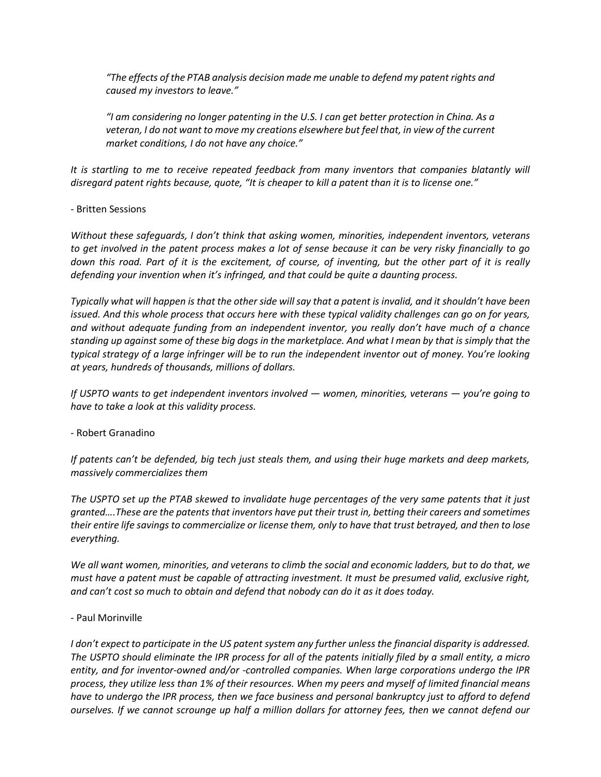*"The effects of the PTAB analysis decision made me unable to defend my patent rights and caused my investors to leave."*

*"I am considering no longer patenting in the U.S. I can get better protection in China. As a veteran, I do not want to move my creations elsewhere but feel that, in view of the current market conditions, I do not have any choice."*

*It is startling to me to receive repeated feedback from many inventors that companies blatantly will disregard patent rights because, quote, "It is cheaper to kill a patent than it is to license one."*

# - Britten Sessions

*Without these safeguards, I don't think that asking women, minorities, independent inventors, veterans to get involved in the patent process makes a lot of sense because it can be very risky financially to go down this road. Part of it is the excitement, of course, of inventing, but the other part of it is really defending your invention when it's infringed, and that could be quite a daunting process.*

*Typically what will happen is that the other side will say that a patent is invalid, and it shouldn't have been issued. And this whole process that occurs here with these typical validity challenges can go on for years, and without adequate funding from an independent inventor, you really don't have much of a chance standing up against some of these big dogs in the marketplace. And what I mean by that is simply that the typical strategy of a large infringer will be to run the independent inventor out of money. You're looking at years, hundreds of thousands, millions of dollars.*

*If USPTO wants to get independent inventors involved — women, minorities, veterans — you're going to have to take a look at this validity process.*

# - Robert Granadino

*If patents can't be defended, big tech just steals them, and using their huge markets and deep markets, massively commercializes them*

*The USPTO set up the PTAB skewed to invalidate huge percentages of the very same patents that it just granted….These are the patents that inventors have put their trust in, betting their careers and sometimes their entire life savings to commercialize or license them, only to have that trust betrayed, and then to lose everything.*

*We all want women, minorities, and veterans to climb the social and economic ladders, but to do that, we must have a patent must be capable of attracting investment. It must be presumed valid, exclusive right, and can't cost so much to obtain and defend that nobody can do it as it does today.*

# - Paul Morinville

*I don't expect to participate in the US patent system any further unless the financial disparity is addressed. The USPTO should eliminate the IPR process for all of the patents initially filed by a small entity, a micro entity, and for inventor-owned and/or -controlled companies. When large corporations undergo the IPR process, they utilize less than 1% of their resources. When my peers and myself of limited financial means have to undergo the IPR process, then we face business and personal bankruptcy just to afford to defend ourselves. If we cannot scrounge up half a million dollars for attorney fees, then we cannot defend our*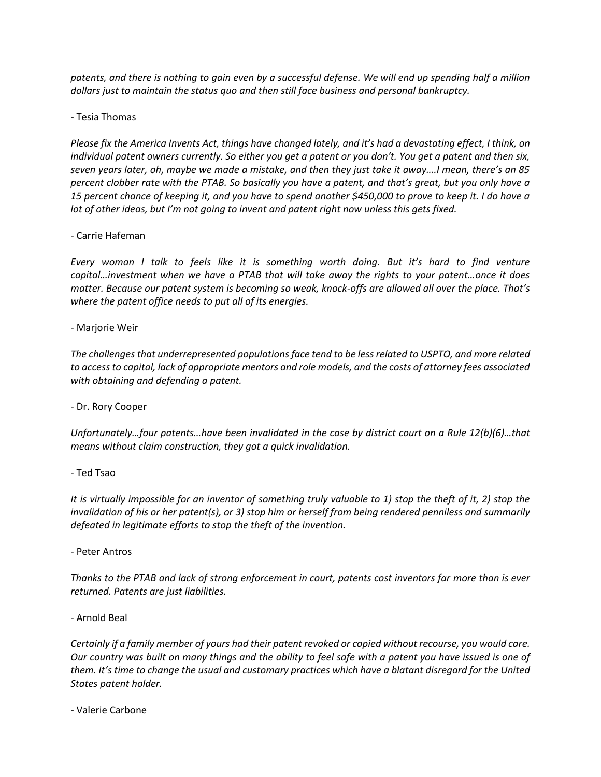*patents, and there is nothing to gain even by a successful defense. We will end up spending half a million dollars just to maintain the status quo and then still face business and personal bankruptcy.*

- Tesia Thomas

*Please fix the America Invents Act, things have changed lately, and it's had a devastating effect, I think, on individual patent owners currently. So either you get a patent or you don't. You get a patent and then six, seven years later, oh, maybe we made a mistake, and then they just take it away….I mean, there's an 85 percent clobber rate with the PTAB. So basically you have a patent, and that's great, but you only have a 15 percent chance of keeping it, and you have to spend another \$450,000 to prove to keep it. I do have a lot of other ideas, but I'm not going to invent and patent right now unless this gets fixed.*

- Carrie Hafeman

*Every woman I talk to feels like it is something worth doing. But it's hard to find venture capital…investment when we have a PTAB that will take away the rights to your patent…once it does matter. Because our patent system is becoming so weak, knock-offs are allowed all over the place. That's where the patent office needs to put all of its energies.*

- Marjorie Weir

*The challenges that underrepresented populations face tend to be less related to USPTO, and more related to access to capital, lack of appropriate mentors and role models, and the costs of attorney fees associated with obtaining and defending a patent.*

- Dr. Rory Cooper

*Unfortunately…four patents…have been invalidated in the case by district court on a Rule 12(b)(6)…that means without claim construction, they got a quick invalidation.*

- Ted Tsao

*It is virtually impossible for an inventor of something truly valuable to 1) stop the theft of it, 2) stop the invalidation of his or her patent(s), or 3) stop him or herself from being rendered penniless and summarily defeated in legitimate efforts to stop the theft of the invention.*

- Peter Antros

*Thanks to the PTAB and lack of strong enforcement in court, patents cost inventors far more than is ever returned. Patents are just liabilities.*

- Arnold Beal

*Certainly if a family member of yours had their patent revoked or copied without recourse, you would care. Our country was built on many things and the ability to feel safe with a patent you have issued is one of them. It's time to change the usual and customary practices which have a blatant disregard for the United States patent holder.*

- Valerie Carbone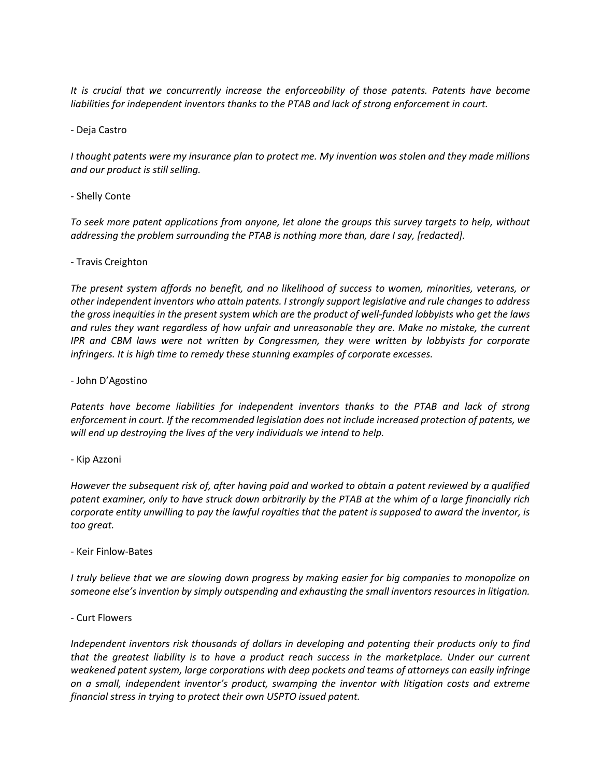*It is crucial that we concurrently increase the enforceability of those patents. Patents have become liabilities for independent inventors thanks to the PTAB and lack of strong enforcement in court.*

- Deja Castro

*I thought patents were my insurance plan to protect me. My invention was stolen and they made millions and our product is still selling.*

# - Shelly Conte

*To seek more patent applications from anyone, let alone the groups this survey targets to help, without addressing the problem surrounding the PTAB is nothing more than, dare I say, [redacted].*

# - Travis Creighton

*The present system affords no benefit, and no likelihood of success to women, minorities, veterans, or other independent inventors who attain patents. I strongly support legislative and rule changes to address the gross inequities in the present system which are the product of well-funded lobbyists who get the laws and rules they want regardless of how unfair and unreasonable they are. Make no mistake, the current IPR and CBM laws were not written by Congressmen, they were written by lobbyists for corporate infringers. It is high time to remedy these stunning examples of corporate excesses.*

- John D'Agostino

*Patents have become liabilities for independent inventors thanks to the PTAB and lack of strong enforcement in court. If the recommended legislation does not include increased protection of patents, we will end up destroying the lives of the very individuals we intend to help.*

- Kip Azzoni

*However the subsequent risk of, after having paid and worked to obtain a patent reviewed by a qualified patent examiner, only to have struck down arbitrarily by the PTAB at the whim of a large financially rich corporate entity unwilling to pay the lawful royalties that the patent is supposed to award the inventor, is too great.*

# - Keir Finlow-Bates

*I truly believe that we are slowing down progress by making easier for big companies to monopolize on someone else's invention by simply outspending and exhausting the small inventors resources in litigation.* 

# - Curt Flowers

*Independent inventors risk thousands of dollars in developing and patenting their products only to find that the greatest liability is to have a product reach success in the marketplace. Under our current weakened patent system, large corporations with deep pockets and teams of attorneys can easily infringe on a small, independent inventor's product, swamping the inventor with litigation costs and extreme financial stress in trying to protect their own USPTO issued patent.*